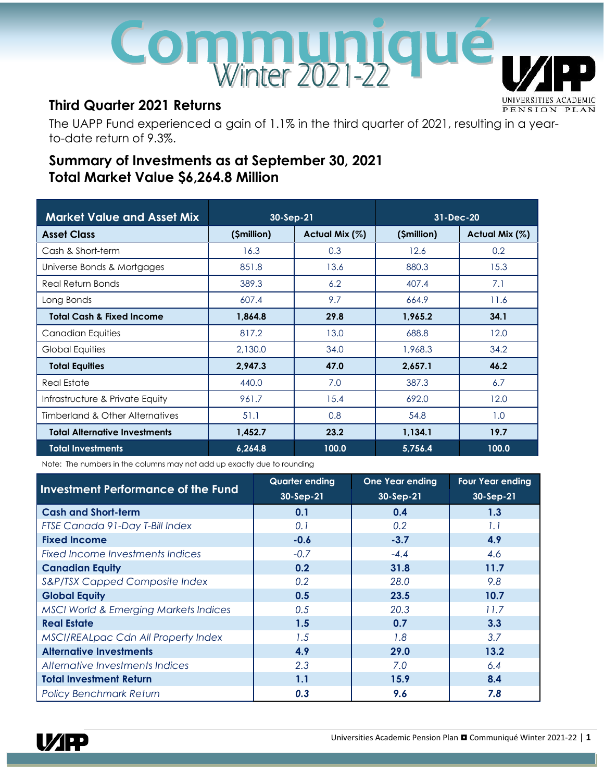# Communiqu **UNIVERSITIES**

# **Third Quarter 2021 Returns**

The UAPP Fund experienced a gain of 1.1% in the third quarter of 2021, resulting in a yearto-date return of 9.3%.

# **Summary of Investments as at September 30, 2021 Total Market Value \$6,264.8 Million**

| <b>Market Value and Asset Mix</b>    | $30-Sep-21$ |                | 31-Dec-20   |                |
|--------------------------------------|-------------|----------------|-------------|----------------|
| <b>Asset Class</b>                   | (\$million) | Actual Mix (%) | (\$million) | Actual Mix (%) |
| Cash & Short-term                    | 16.3        | 0.3            | 12.6        | 0.2            |
| Universe Bonds & Mortgages           | 851.8       | 13.6           | 880.3       | 15.3           |
| Real Return Bonds                    | 389.3       | 6.2            | 407.4       | 7.1            |
| Long Bonds                           | 607.4       | 9.7            | 664.9       | 11.6           |
| <b>Total Cash &amp; Fixed Income</b> | 1,864.8     | 29.8           | 1,965.2     | 34.1           |
| Canadian Equities                    | 817.2       | 13.0           | 688.8       | 12.0           |
| Global Equities                      | 2,130.0     | 34.0           | 1,968.3     | 34.2           |
| <b>Total Equities</b>                | 2,947.3     | 47.0           | 2,657.1     | 46.2           |
| <b>Real Estate</b>                   | 440.0       | 7.0            | 387.3       | 6.7            |
| Infrastructure & Private Equity      | 961.7       | 15.4           | 692.0       | 12.0           |
| Timberland & Other Alternatives      | 51.1        | 0.8            | 54.8        | 1.0            |
| <b>Total Alternative Investments</b> | 1,452.7     | 23.2           | 1,134.1     | 19.7           |
| <b>Total Investments</b>             | 6,264.8     | 100.0          | 5,756.4     | 100.0          |

Note: The numbers in the columns may not add up exactly due to rounding

|                                                  | <b>Quarter ending</b> | <b>One Year ending</b> | <b>Four Year ending</b> |
|--------------------------------------------------|-----------------------|------------------------|-------------------------|
| <b>Investment Performance of the Fund</b>        | 30-Sep-21             | 30-Sep-21              | $30-Sep-21$             |
| <b>Cash and Short-term</b>                       | 0.1                   | 0.4                    | 1.3                     |
| FTSE Canada 91-Day T-Bill Index                  | 0.1                   | 0.2                    | 1.1                     |
| <b>Fixed Income</b>                              | $-0.6$                | $-3.7$                 | 4.9                     |
| Fixed Income Investments Indices                 | $-0.7$                | $-4.4$                 | 4.6                     |
| <b>Canadian Equity</b>                           | 0.2                   | 31.8                   | 11.7                    |
| S&P/TSX Capped Composite Index                   | 0.2                   | 28.0                   | 9.8                     |
| <b>Global Equity</b>                             | 0.5                   | 23.5                   | 10.7                    |
| <b>MSCI World &amp; Emerging Markets Indices</b> | 0.5                   | 20.3                   | 11.7                    |
| <b>Real Estate</b>                               | 1.5                   | 0.7                    | 3.3                     |
| MSCI/REALpac Cdn All Property Index              | 1.5                   | 1.8                    | 3.7                     |
| <b>Alternative Investments</b>                   | 4.9                   | 29.0                   | 13.2                    |
| Alternative Investments Indices                  | 2.3                   | 7.0                    | 6.4                     |
| <b>Total Investment Return</b>                   | 1.1                   | 15.9                   | 8.4                     |
| <b>Policy Benchmark Return</b>                   | 0.3                   | 9.6                    | 7.8                     |



ACADEMIC

PENSION PLAN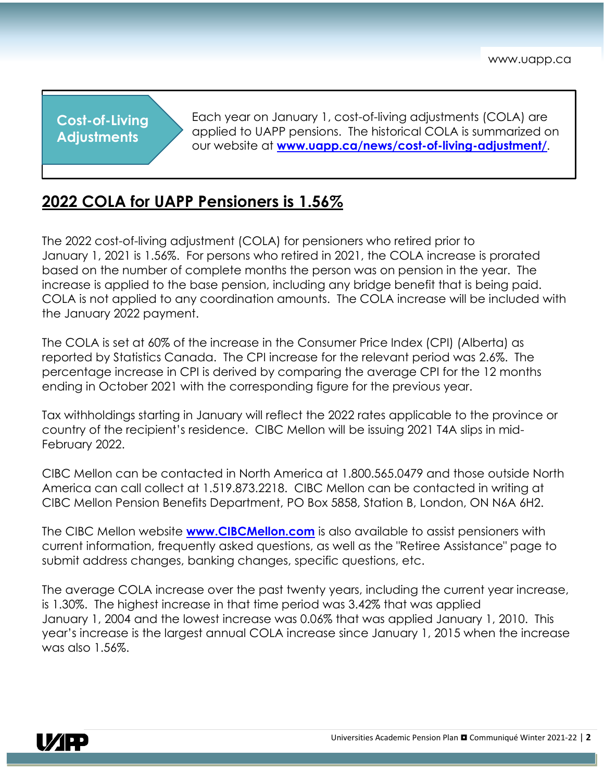**Cost-of-Living Adjustments**

Each year on January 1, cost-of-living adjustments (COLA) are applied to UAPP pensions. The historical COLA is summarized on our website at **[www.uapp.ca/news/cost-of-living-adjustment/](http://www.uapp.ca/news/cost-of-living-adjustment/)**.

# **2022 COLA for UAPP Pensioners is 1.56%**

The 2022 cost-of-living adjustment (COLA) for pensioners who retired prior to January 1, 2021 is 1.56%. For persons who retired in 2021, the COLA increase is prorated based on the number of complete months the person was on pension in the year. The increase is applied to the base pension, including any bridge benefit that is being paid. COLA is not applied to any coordination amounts. The COLA increase will be included with the January 2022 payment.

The COLA is set at 60% of the increase in the Consumer Price Index (CPI) (Alberta) as reported by Statistics Canada. The CPI increase for the relevant period was 2.6%. The percentage increase in CPI is derived by comparing the average CPI for the 12 months ending in October 2021 with the corresponding figure for the previous year.

Tax withholdings starting in January will reflect the 2022 rates applicable to the province or country of the recipient's residence. CIBC Mellon will be issuing 2021 T4A slips in mid-February 2022.

CIBC Mellon can be contacted in North America at 1.800.565.0479 and those outside North America can call collect at 1.519.873.2218. CIBC Mellon can be contacted in writing at CIBC Mellon Pension Benefits Department, PO Box 5858, Station B, London, ON N6A 6H2.

The CIBC Mellon website **[www.CIBCMellon.com](http://www.cibcmellon.com/)** is also available to assist pensioners with current information, frequently asked questions, as well as the "Retiree Assistance" page to submit address changes, banking changes, specific questions, etc.

The average COLA increase over the past twenty years, including the current year increase, is 1.30%. The highest increase in that time period was 3.42% that was applied January 1, 2004 and the lowest increase was 0.06% that was applied January 1, 2010. This year's increase is the largest annual COLA increase since January 1, 2015 when the increase was also 1.56%.

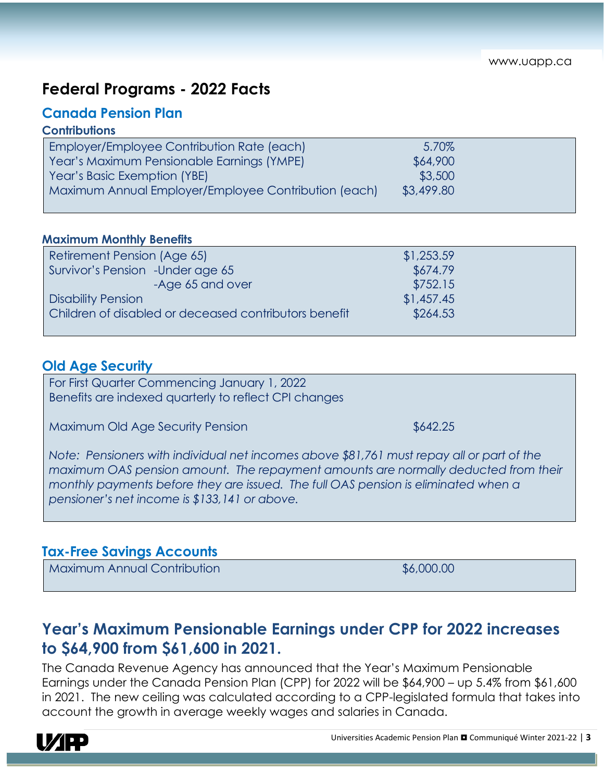# **Federal Programs - 2022 Facts**

## **Canada Pension Plan**

## **Contributions**

| <b>Employer/Employee Contribution Rate (each)</b>    | 5.70%      |  |
|------------------------------------------------------|------------|--|
| Year's Maximum Pensionable Earnings (YMPE)           | \$64,900   |  |
| Year's Basic Exemption (YBE)                         | \$3,500    |  |
| Maximum Annual Employer/Employee Contribution (each) | \$3,499.80 |  |
|                                                      |            |  |

#### **Maximum Monthly Benefits**

| Retirement Pension (Age 65)                           | \$1,253.59 |  |
|-------------------------------------------------------|------------|--|
| Survivor's Pension - Under age 65                     | \$674.79   |  |
| -Age 65 and over                                      | \$752.15   |  |
| <b>Disability Pension</b>                             | \$1,457.45 |  |
| Children of disabled or deceased contributors benefit | \$264.53   |  |

## **Old Age Security**

For First Quarter Commencing January 1, 2022 Benefits are indexed quarterly to reflect CPI changes

Maximum Old Age Security Pension **\$642.25** \$642.25

*Note: Pensioners with individual net incomes above \$81,761 must repay all or part of the maximum OAS pension amount. The repayment amounts are normally deducted from their monthly payments before they are issued. The full OAS pension is eliminated when a pensioner's net income is \$133,141 or above.*

## **Tax-Free Savings Accounts**

Maximum Annual Contribution **\$6,000.00** \$6,000.00

# **Year's Maximum Pensionable Earnings under CPP for 2022 increases to \$64,900 from \$61,600 in 2021.**

The Canada Revenue Agency has announced that the Year's Maximum Pensionable Earnings under the Canada Pension Plan (CPP) for 2022 will be \$64,900 – up 5.4% from \$61,600 in 2021. The new ceiling was calculated according to a CPP-legislated formula that takes into account the growth in average weekly wages and salaries in Canada.

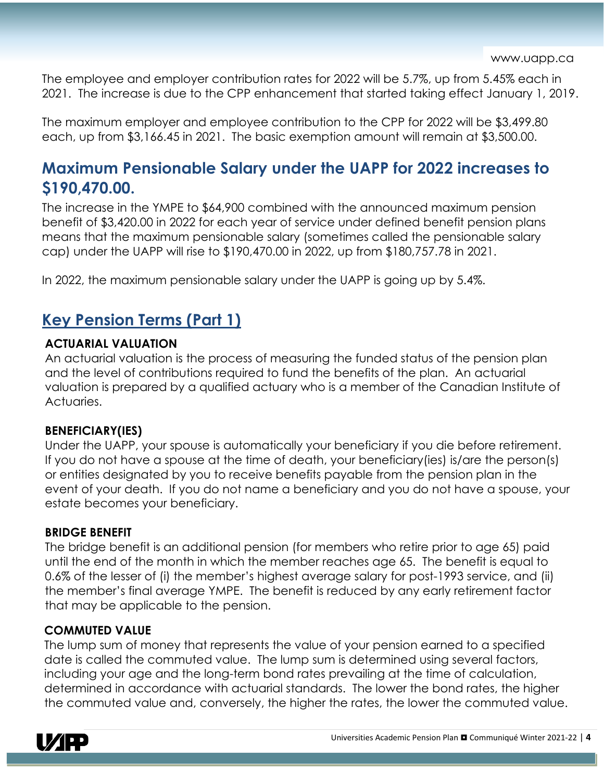The employee and employer contribution rates for 2022 will be 5.7%, up from 5.45% each in 2021. The increase is due to the CPP enhancement that started taking effect January 1, 2019.

The maximum employer and employee contribution to the CPP for 2022 will be \$3,499.80 each, up from \$3,166.45 in 2021. The basic exemption amount will remain at \$3,500.00.

# **Maximum Pensionable Salary under the UAPP for 2022 increases to \$190,470.00.**

The increase in the YMPE to \$64,900 combined with the announced maximum pension benefit of \$3,420.00 in 2022 for each year of service under defined benefit pension plans means that the maximum pensionable salary (sometimes called the pensionable salary cap) under the UAPP will rise to \$190,470.00 in 2022, up from \$180,757.78 in 2021.

In 2022, the maximum pensionable salary under the UAPP is going up by 5.4%.

# **Key Pension Terms (Part 1)**

## **ACTUARIAL VALUATION**

An actuarial valuation is the process of measuring the funded status of the pension plan and the level of contributions required to fund the benefits of the plan. An actuarial valuation is prepared by a qualified actuary who is a member of the Canadian Institute of Actuaries.

## **BENEFICIARY(IES)**

Under the UAPP, your spouse is automatically your beneficiary if you die before retirement. If you do not have a spouse at the time of death, your beneficiary(ies) is/are the person(s) or entities designated by you to receive benefits payable from the pension plan in the event of your death. If you do not name a beneficiary and you do not have a spouse, your estate becomes your beneficiary.

## **BRIDGE BENEFIT**

The bridge benefit is an additional pension (for members who retire prior to age 65) paid until the end of the month in which the member reaches age 65. The benefit is equal to 0.6% of the lesser of (i) the member's highest average salary for post-1993 service, and (ii) the member's final average YMPE. The benefit is reduced by any early retirement factor that may be applicable to the pension.

## **COMMUTED VALUE**

The lump sum of money that represents the value of your pension earned to a specified date is called the commuted value. The lump sum is determined using several factors, including your age and the long-term bond rates prevailing at the time of calculation, determined in accordance with actuarial standards. The lower the bond rates, the higher the commuted value and, conversely, the higher the rates, the lower the commuted value.

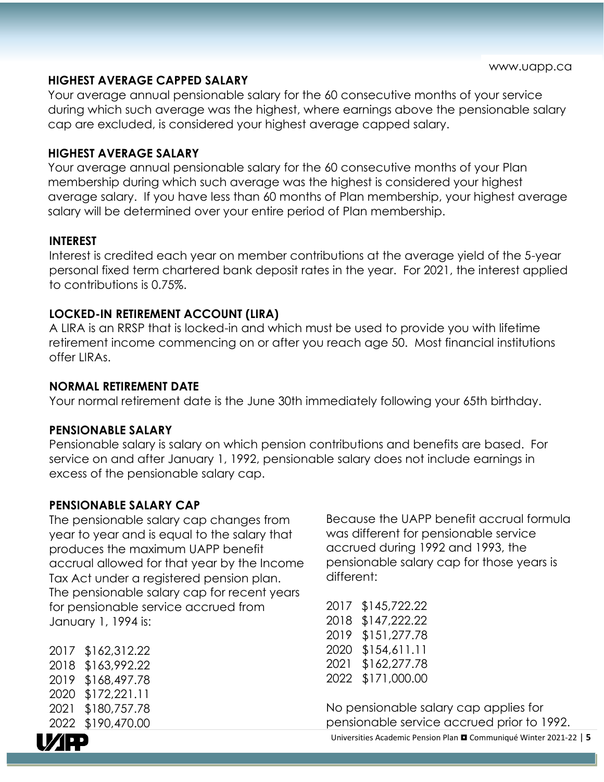#### **HIGHEST AVERAGE CAPPED SALARY**

Your average annual pensionable salary for the 60 consecutive months of your service during which such average was the highest, where earnings above the pensionable salary cap are excluded, is considered your highest average capped salary.

#### **HIGHEST AVERAGE SALARY**

Your average annual pensionable salary for the 60 consecutive months of your Plan membership during which such average was the highest is considered your highest average salary. If you have less than 60 months of Plan membership, your highest average salary will be determined over your entire period of Plan membership.

#### **INTEREST**

Interest is credited each year on member contributions at the average yield of the 5-year personal fixed term chartered bank deposit rates in the year. For 2021, the interest applied to contributions is 0.75%.

#### **LOCKED-IN RETIREMENT ACCOUNT (LIRA)**

A LIRA is an RRSP that is locked-in and which must be used to provide you with lifetime retirement income commencing on or after you reach age 50. Most financial institutions offer LIRAs.

#### **NORMAL RETIREMENT DATE**

Your normal retirement date is the June 30th immediately following your 65th birthday.

#### **PENSIONABLE SALARY**

Pensionable salary is salary on which pension contributions and benefits are based. For service on and after January 1, 1992, pensionable salary does not include earnings in excess of the pensionable salary cap.

#### **PENSIONABLE SALARY CAP**

The pensionable salary cap changes from year to year and is equal to the salary that produces the maximum UAPP benefit accrual allowed for that year by the Income Tax Act under a registered pension plan. The pensionable salary cap for recent years for pensionable service accrued from January 1, 1994 is:

 \$162,312.22 \$163,992.22 \$168,497.78 \$172,221.11 \$180,757.78 \$190,470.00

Because the UAPP benefit accrual formula was different for pensionable service accrued during 1992 and 1993, the pensionable salary cap for those years is different:

| \$145,722.22 |
|--------------|
| \$147,222.22 |
| \$151,277.78 |
| \$154,611.11 |
| \$162,277.78 |
| \$171,000.00 |
|              |

No pensionable salary cap applies for pensionable service accrued prior to 1992.



Universities Academic Pension Plan Communiqué Winter 2021-22 | **5**